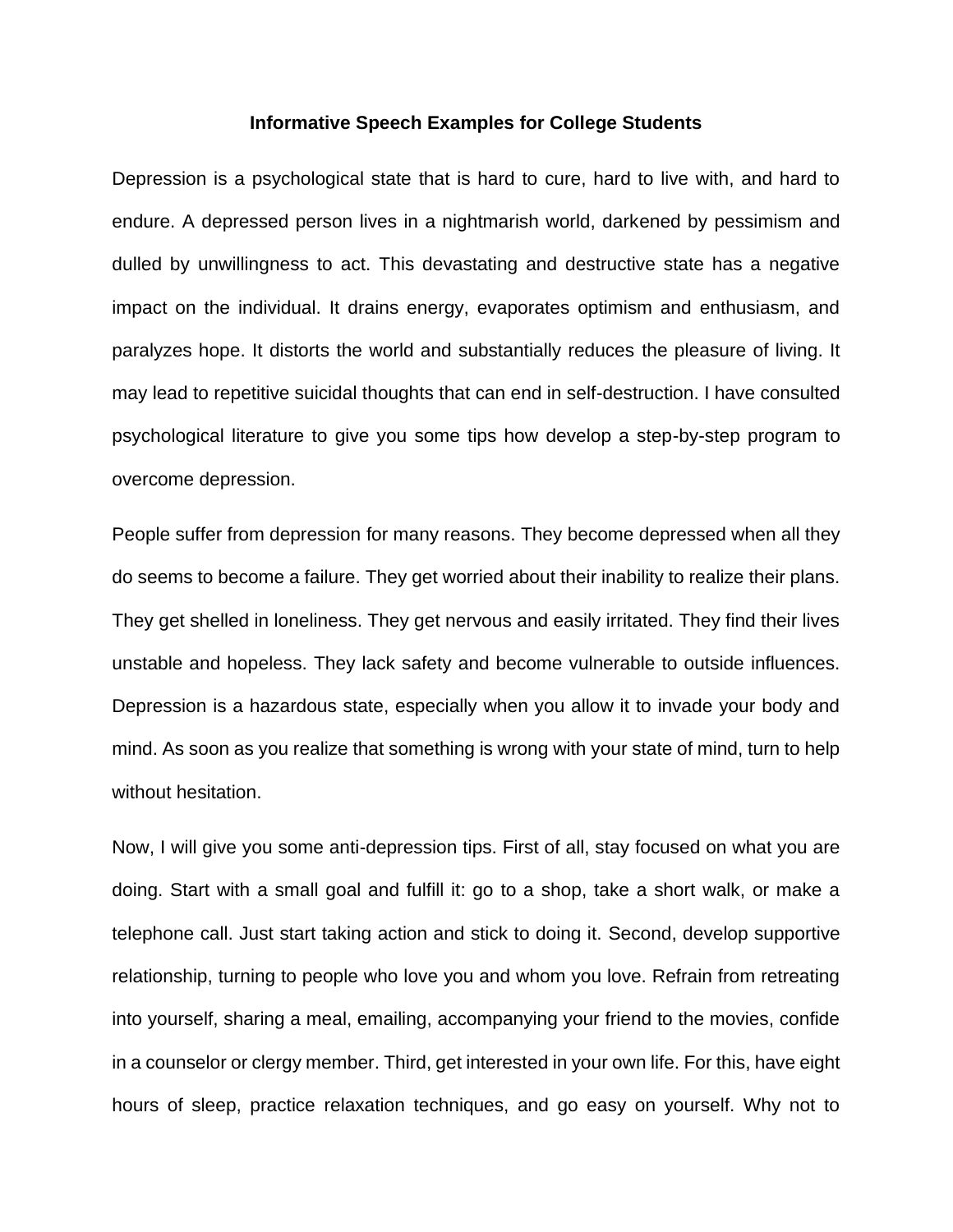## **Informative Speech Examples for College Students**

Depression is a psychological state that is hard to cure, hard to live with, and hard to endure. A depressed person lives in a nightmarish world, darkened by pessimism and dulled by unwillingness to act. This devastating and destructive state has a negative impact on the individual. It drains energy, evaporates optimism and enthusiasm, and paralyzes hope. It distorts the world and substantially reduces the pleasure of living. It may lead to repetitive suicidal thoughts that can end in self-destruction. I have consulted psychological literature to give you some tips how develop a step-by-step program to overcome depression.

People suffer from depression for many reasons. They become depressed when all they do seems to become a failure. They get worried about their inability to realize their plans. They get shelled in loneliness. They get nervous and easily irritated. They find their lives unstable and hopeless. They lack safety and become vulnerable to outside influences. Depression is a hazardous state, especially when you allow it to invade your body and mind. As soon as you realize that something is wrong with your state of mind, turn to help without hesitation.

Now, I will give you some anti-depression tips. First of all, stay focused on what you are doing. Start with a small goal and fulfill it: go to a shop, take a short walk, or make a telephone call. Just start taking action and stick to doing it. Second, develop supportive relationship, turning to people who love you and whom you love. Refrain from retreating into yourself, sharing a meal, emailing, accompanying your friend to the movies, confide in a counselor or clergy member. Third, get interested in your own life. For this, have eight hours of sleep, practice relaxation techniques, and go easy on yourself. Why not to